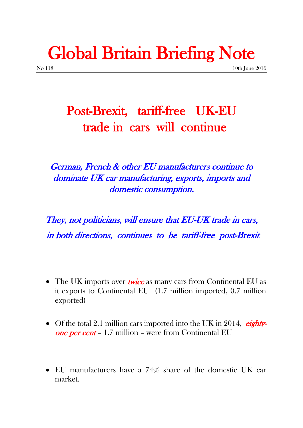## Global Britain Briefing Note

## Post-Brexit, tariff-free UK-EU trade in cars will continue

German, French & other EU manufacturers continue to dominate UK car manufacturing, exports, imports and domestic consumption.

They, not politicians, will ensure that EU-UK trade in cars, in both directions, continues to be tariff-free post-Brexit

- The UK imports over *twice* as many cars from Continental EU as it exports to Continental EU (1.7 million imported, 0.7 million exported)
- Of the total 2.1 million cars imported into the UK in 2014,  $eight$ one per cent – 1.7 million – were from Continental EU
- EU manufacturers have a 74% share of the domestic UK car market.